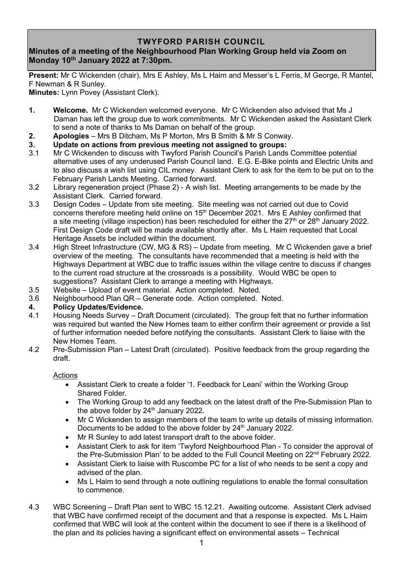## **TWYFORD PARISH COUNCIL**

# **Minutes of a meeting of the Neighbourhood Plan Working Group held via Zoom on Monday 10th January 2022 at 7:30pm.**

**Present:** Mr C Wickenden (chair), Mrs E Ashley, Ms L Haim and Messer's L Ferris, M George, R Mantel, F Newman & R Sunley.

**Minutes:** Lynn Povey (Assistant Clerk).

- **1. Welcome.** Mr C Wickenden welcomed everyone. Mr C Wickenden also advised that Ms J Daman has left the group due to work commitments. Mr C Wickenden asked the Assistant Clerk to send a note of thanks to Ms Daman on behalf of the group.
- **2. Apologies** Mrs B Ditcham, Ms P Morton, Mrs B Smith & Mr S Conway.
- **3. Update on actions from previous meeting not assigned to groups:**
- 3.1 Mr C Wickenden to discuss with Twyford Parish Council's Parish Lands Committee potential alternative uses of any underused Parish Council land. E.G. E-Bike points and Electric Units and to also discuss a wish list using CIL money. Assistant Clerk to ask for the item to be put on to the February Parish Lands Meeting. Carried forward.
- 3.2 Library regeneration project (Phase 2) A wish list. Meeting arrangements to be made by the Assistant Clerk. Carried forward.
- 3.3 Design Codes Update from site meeting. Site meeting was not carried out due to Covid concerns therefore meeting held online on 15<sup>th</sup> December 2021. Mrs E Ashley confirmed that a site meeting (village inspection) has been rescheduled for either the 27<sup>th</sup> or 28<sup>th</sup> January 2022. First Design Code draft will be made available shortly after. Ms L Haim requested that Local Heritage Assets be included within the document.
- 3.4 High Street Infrastructure (CW, MG & RS) Update from meeting. Mr C Wickenden gave a brief overview of the meeting. The consultants have recommended that a meeting is held with the Highways Department at WBC due to traffic issues within the village centre to discuss if changes to the current road structure at the crossroads is a possibility. Would WBC be open to suggestions? Assistant Clerk to arrange a meeting with Highways.
- 3.5 Website Upload of event material. Action completed. Noted.
- 3.6 Neighbourhood Plan QR Generate code. Action completed. Noted.

#### **4. Policy Updates/Evidence.**

- 4.1 Housing Needs Survey Draft Document (circulated). The group felt that no further information was required but wanted the New Homes team to either confirm their agreement or provide a list of further information needed before notifying the consultants. Assistant Clerk to liaise with the New Homes Team.
- 4.2 Pre-Submission Plan Latest Draft (circulated). Positive feedback from the group regarding the draft.

#### Actions

- Assistant Clerk to create a folder '1. Feedback for Leani' within the Working Group Shared Folder.
- The Working Group to add any feedback on the latest draft of the Pre-Submission Plan to the above folder by 24<sup>th</sup> January 2022.
- Mr C Wickenden to assign members of the team to write up details of missing information. Documents to be added to the above folder by 24<sup>th</sup> January 2022.
- Mr R Sunley to add latest transport draft to the above folder.
- Assistant Clerk to ask for item 'Twyford Neighbourhood Plan To consider the approval of the Pre-Submission Plan' to be added to the Full Council Meeting on 22<sup>nd</sup> February 2022.
- Assistant Clerk to liaise with Ruscombe PC for a list of who needs to be sent a copy and advised of the plan.
- Ms L Haim to send through a note outlining regulations to enable the formal consultation to commence.
- 4.3 WBC Screening Draft Plan sent to WBC 15.12.21. Awaiting outcome. Assistant Clerk advised that WBC have confirmed receipt of the document and that a response is expected. Ms L Haim confirmed that WBC will look at the content within the document to see if there is a likelihood of the plan and its policies having a significant effect on environmental assets – Technical